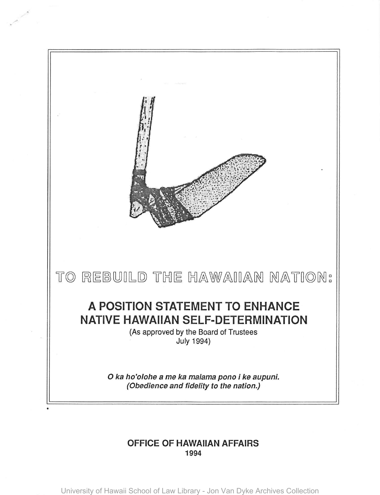

## **OFFICE OF HAWAIIAN AFFAIRS**  1994

University of Hawaii School of Law Library - Jon Van Dyke Archives Collection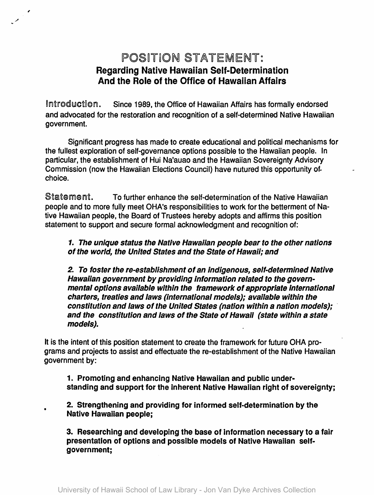## POSITION STATEMENT: Regarding Native Hawaiian Self·Determination And the Role of the Office of Hawaiian Affairs

,

•

Introduction. Since 1989, the Office of Hawaiian Affairs has formally endorsed and advocated for the restoration and recognition of a self-determined Native Hawaiian government.

Significant progress has made to create educational and pOlitical mechanisms for the fullest exploration of self-governance options possible to the Hawaiian people. In particular. the establishment of Hui Na'auao and the Hawaiian Sovereignty Advisory Commission (now the Hawaiian Elections Council) have nutured this opportunity of. choice.

Statement. To further enhance the self-determination of the Native Hawaiian people and to more fully meet OHA's responsibilities to work for the betterment of Native Hawaiian people, the Board of Trustees hereby adopts and affirms this position statement to support and secure formal acknowledgment and recognition of:

## 1. The unique status the Native Hawaiian people bear to the other nations of the world, the United States and the State of Hawaii; and

2. To foster the re-establishment of an indigenous, self-determined Native Hawaiian government by providing information related to the governmental options available within the framework of appropriate International charters, treaties and laws (international models); available within the constitution and laws of the United States (nation within a nation models); and the constitution and laws of the State of Hawaii (state within a state models).

It is the intent of this position statement to create the framework for future OHA programs and projects to assist and effectuate the re-establishment of the Native Hawaiian government by:

1. Promoting and enhancing Native Hawaiian and public understanding and support for the inherent Native Hawaiian right of sovereignty;

2. Strengthening and providing for informed self-determination by the Native Hawaiian people;

3. Researching and developing the base of information necessary to a fair presentation of options and possible models of Native Hawaiian selfgovernment;